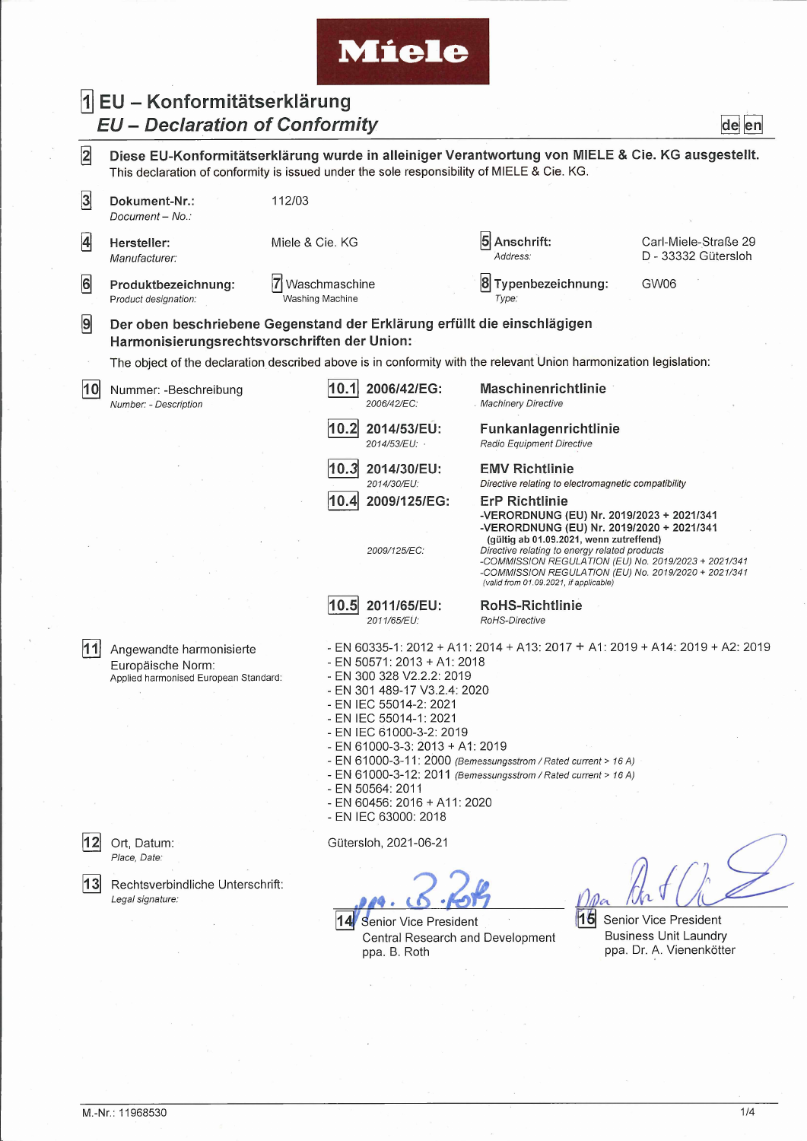## **Miele**

## **5] EU - Konformitätserklärung** *EU - Declaration of Conformity* **de en**

**|2] Diese EU-Konformitätserklärung wurde in alleiniger Verantwortung von MIELE & Cie. KG ausgestellt.** This declaration of conformity is issued under the sole responsibility of MIELE & Cie. KG.

| $\overline{3}$ | Dokument-Nr.:<br>Document - No                                                                                           | 112/03                           |                                                                                                                                                                                                                                                                                                                                                                                                                                                                                                             |                                                                                                                                                                                                                                                    |          |                                             |  |
|----------------|--------------------------------------------------------------------------------------------------------------------------|----------------------------------|-------------------------------------------------------------------------------------------------------------------------------------------------------------------------------------------------------------------------------------------------------------------------------------------------------------------------------------------------------------------------------------------------------------------------------------------------------------------------------------------------------------|----------------------------------------------------------------------------------------------------------------------------------------------------------------------------------------------------------------------------------------------------|----------|---------------------------------------------|--|
| $\overline{4}$ | Hersteller:<br>Manufacturer:                                                                                             | Miele & Cie. KG                  |                                                                                                                                                                                                                                                                                                                                                                                                                                                                                                             | Anschrift:<br>Address:                                                                                                                                                                                                                             |          | Carl-Miele-Straße 29<br>D - 33332 Gütersloh |  |
| 6              | Produktbezeichnung:<br>Product designation:                                                                              | Waschmaschine<br>Washing Machine |                                                                                                                                                                                                                                                                                                                                                                                                                                                                                                             | 8<br>Typenbezeichnung:<br>Type:                                                                                                                                                                                                                    |          | GW06                                        |  |
| 9              | Der oben beschriebene Gegenstand der Erklärung erfüllt die einschlägigen<br>Harmonisierungsrechtsvorschriften der Union: |                                  |                                                                                                                                                                                                                                                                                                                                                                                                                                                                                                             |                                                                                                                                                                                                                                                    |          |                                             |  |
|                | The object of the declaration described above is in conformity with the relevant Union harmonization legislation:        |                                  |                                                                                                                                                                                                                                                                                                                                                                                                                                                                                                             |                                                                                                                                                                                                                                                    |          |                                             |  |
| 10             | Nummer: -Beschreibung<br>Number: - Description                                                                           | 10.1                             | 2006/42/EG:<br>2006/42/EC:                                                                                                                                                                                                                                                                                                                                                                                                                                                                                  | <b>Maschinenrichtlinie</b><br><b>Machinery Directive</b>                                                                                                                                                                                           |          |                                             |  |
|                |                                                                                                                          | 10.2                             | 2014/53/EU:<br>2014/53/EU:                                                                                                                                                                                                                                                                                                                                                                                                                                                                                  | Funkanlagenrichtlinie<br>Radio Equipment Directive                                                                                                                                                                                                 |          |                                             |  |
|                |                                                                                                                          | 10.3<br>10.4                     | 2014/30/EU:<br>2014/30/EU:<br>2009/125/EG:                                                                                                                                                                                                                                                                                                                                                                                                                                                                  | <b>EMV Richtlinie</b><br>Directive relating to electromagnetic compatibility<br><b>ErP Richtlinie</b><br>-VERORDNUNG (EU) Nr. 2019/2023 + 2021/341<br>-VERORDNUNG (EU) Nr. 2019/2020 + 2021/341                                                    |          |                                             |  |
|                |                                                                                                                          |                                  | 2009/125/EC:                                                                                                                                                                                                                                                                                                                                                                                                                                                                                                | (gültig ab 01.09.2021, wenn zutreffend)<br>Directive relating to energy related products<br>-COMMISSION REGULATION (EU) No. 2019/2023 + 2021/341<br>-COMMISSION REGULATION (EU) No. 2019/2020 + 2021/341<br>(valid from 01.09.2021, if applicable) |          |                                             |  |
|                |                                                                                                                          | 10.5                             | 2011/65/EU:<br>2011/65/EU:                                                                                                                                                                                                                                                                                                                                                                                                                                                                                  | <b>RoHS-Richtlinie</b><br>RoHS-Directive                                                                                                                                                                                                           |          |                                             |  |
| 11             | Angewandte harmonisierte<br>Europäische Norm:<br>Applied harmonised European Standard:                                   |                                  | - EN 60335-1: 2012 + A11: 2014 + A13: 2017 + A1: 2019 + A14: 2019 + A2: 2019<br>- EN 50571: 2013 + A1: 2018<br>- EN 300 328 V2.2.2: 2019<br>- EN 301 489-17 V3.2.4: 2020<br>- EN IEC 55014-2: 2021<br>- EN IEC 55014-1: 2021<br>- EN IEC 61000-3-2: 2019<br>- EN 61000-3-3: 2013 + A1: 2019<br>- EN 61000-3-11: 2000 (Bemessungsstrom / Rated current > 16 A)<br>- EN 61000-3-12: 2011 (Bemessungsstrom / Rated current > 16 A)<br>- EN 50564: 2011<br>- EN 60456: 2016 + A11: 2020<br>- EN IEC 63000: 2018 |                                                                                                                                                                                                                                                    |          |                                             |  |
|                | Ort, Datum:                                                                                                              |                                  | Gütersloh, 2021-06-21                                                                                                                                                                                                                                                                                                                                                                                                                                                                                       |                                                                                                                                                                                                                                                    |          |                                             |  |
| 13             | Place, Date:<br>Rechtsverbindliche Unterschrift:<br>Legal signature:                                                     |                                  | Senior Vice President                                                                                                                                                                                                                                                                                                                                                                                                                                                                                       |                                                                                                                                                                                                                                                    | Da<br>16 | Senior Vice President                       |  |
|                |                                                                                                                          |                                  | Central Research and Development                                                                                                                                                                                                                                                                                                                                                                                                                                                                            |                                                                                                                                                                                                                                                    |          | <b>Business Unit Laundry</b>                |  |

ppa. B. Roth ppa. Dr. A. Vienenkötter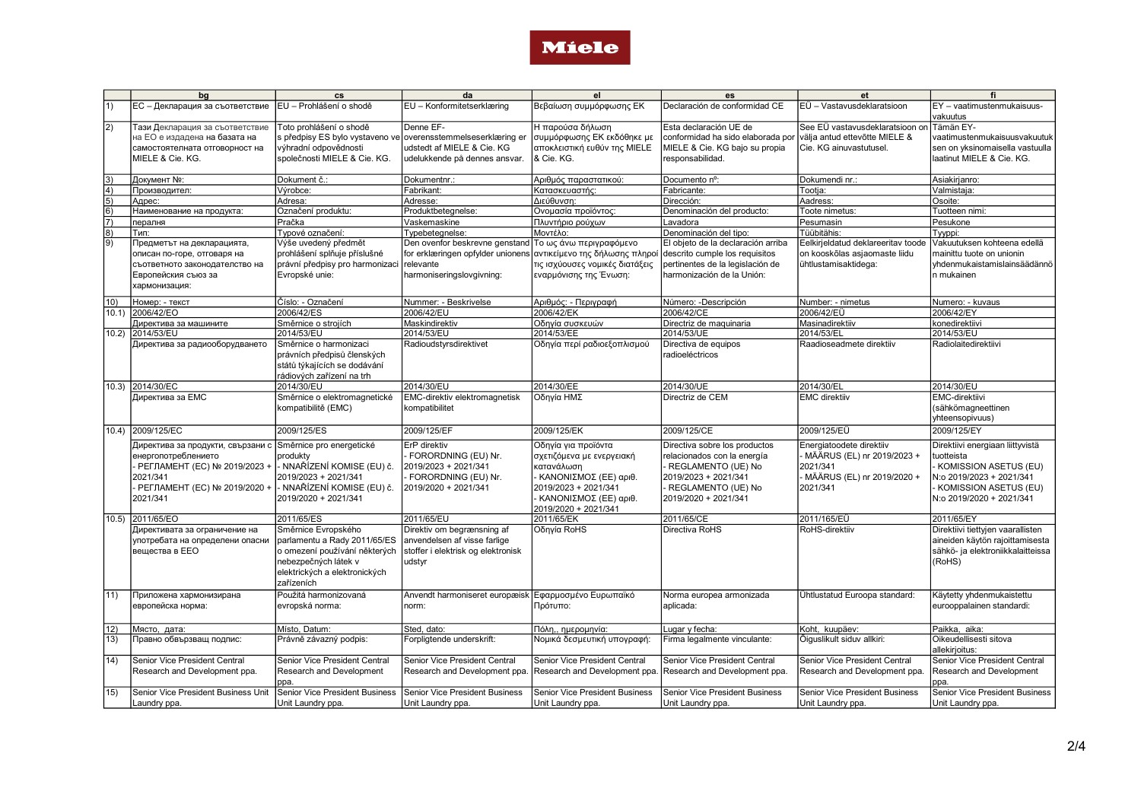

|                                                       | bg                                     | cs                              | da                                    | el                                    | es                                 | et                                        | fi                                    |
|-------------------------------------------------------|----------------------------------------|---------------------------------|---------------------------------------|---------------------------------------|------------------------------------|-------------------------------------------|---------------------------------------|
| $\vert$ 1)                                            | <b>EC</b> - Декларация за съответствие | EU - Prohlášení o shodě         | EU - Konformitetserklæring            | Βεβαίωση συμμόρφωσης ΕΚ               | Declaración de conformidad CE      | EÜ - Vastavusdeklaratsioon                | EY - vaatimustenmukaisuus-            |
|                                                       |                                        |                                 |                                       |                                       |                                    |                                           | vakuutus                              |
|                                                       |                                        |                                 | Denne EF-                             |                                       | Esta declaración UE de             |                                           |                                       |
| $\overline{2}$                                        | Тази Декларация за съответствие        | Toto prohlášení o shodě         |                                       | Η παρούσα δήλωση                      |                                    | See EÜ vastavusdeklaratsioon on Tämän EY- |                                       |
|                                                       | на ЕО е издадена на базата на          | s předpisy ES bylo vystaveno ve | overensstemmelseserklæring er         | συμμόρφωσης ΕΚ εκδόθηκε με            | conformidad ha sido elaborada por  | välja antud ettevõtte MIELE &             | vaatimustenmukaisuusvakuutuk          |
|                                                       | самостоятелната отговорност на         | výhradní odpovědnosti           | udstedt af MIELE & Cie. KG            | αποκλειστική ευθύν της MIELE          | MIELE & Cie. KG bajo su propia     | Cie. KG ainuvastutusel.                   | sen on yksinomaisella vastuulla       |
|                                                       | MIELE & Cie. KG.                       | společnosti MIELE & Cie. KG.    | udelukkende på dennes ansvar.         | & Cie. KG.                            | responsabilidad.                   |                                           | laatinut MIELE & Cie. KG.             |
|                                                       |                                        |                                 |                                       |                                       |                                    |                                           |                                       |
| $\begin{array}{c} \boxed{3} \\ \boxed{4} \end{array}$ | Документ №:                            | Dokument č.:                    | Dokumentnr.:                          | Αριθμός παραστατικού:                 | Documento nº:                      | Dokumendi nr.:                            | Asiakirjanro:                         |
|                                                       | Производител:                          | Výrobce:                        | Fabrikant:                            | Κατασκευαστής:                        | Fabricante:                        | Tootja:                                   | Valmistaja:                           |
| $\frac{5}{6}$<br>$\frac{6}{7}$<br>$\frac{8}{9}$       | Адрес:                                 | Adresa:                         | Adresse:                              | Διεύθυνση:                            | Dirección:                         | Aadress:                                  | Osoite:                               |
|                                                       | Наименование на продукта:              | Označení produktu:              | Produktbetegnelse:                    | Ονομασία προϊόντος:                   | Denominación del producto:         | Toote nimetus:                            | Tuotteen nimi:                        |
|                                                       | пералня                                | Pračka                          | Vaskemaskine                          | Πλυντήριο ρούχων                      | Lavadora                           | Pesumasin                                 | Pesukone                              |
|                                                       | Тип:                                   | Typové označení:                | Typebetegnelse:                       | Μοντέλο:                              | Denominación del tipo:             | Tüübitähis:                               | Tyyppi:                               |
|                                                       | Предметът на декларацията,             | Výše uvedený předmět            | Den ovenfor beskrevne genstand        | Το ως άνω περιγραφόμενο               | El objeto de la declaración arriba | Eelkirjeldatud deklareeritav toode        | Vakuutuksen kohteena edellä           |
|                                                       | описан по-горе, отговаря на            | prohlášení splňuje příslušné    | for erklæringen opfylder unionens     | αντικείμενο της δήλωσης πληρο         | descrito cumple los requisitos     | on kooskõlas asjaomaste liidu             | mainittu tuote on unionin             |
|                                                       | съответното законодателство на         | právní předpisy pro harmonizaci | relevante                             | τις ισχύουσες νομικές διατάξεις       | pertinentes de la legislación de   | ühtlustamisaktidega:                      | lvhdenmukaistamislainsäädännö         |
|                                                       | Европейския съюз за                    | Evropské unie:                  | harmoniseringslovgivning:             | εναρμόνισης της Ένωση:                | harmonización de la Unión:         |                                           | In mukainen                           |
|                                                       | хармонизация:                          |                                 |                                       |                                       |                                    |                                           |                                       |
|                                                       |                                        |                                 |                                       |                                       |                                    |                                           |                                       |
| 10)                                                   | Номер: - текст                         | Číslo: - Označení               | Nummer: - Beskrivelse                 | Αριθμός: - Περιγραφή                  | Número: -Descripción               | Number: - nimetus                         | Numero: - kuvaus                      |
|                                                       | 10.1) 2006/42/EO                       | 2006/42/ES                      | 2006/42/EU                            | 2006/42/EK                            | 2006/42/CE                         | 2006/42/EÜ                                | 2006/42/EY                            |
|                                                       | Директива за машините                  | Směrnice o strojích             | Maskindirektiv                        | Οδηγία συσκευών                       | Directriz de maquinaria            | Masinadirektiiv                           | konedirektiivi                        |
| 10.2)                                                 | 2014/53/EU                             | 2014/53/EU                      | 2014/53/EU                            | 2014/53/EE                            | 2014/53/UE                         | 2014/53/EL                                | 2014/53/EU                            |
|                                                       | Директива за радиооборудването         | Směrnice o harmonizaci          | Radioudstyrsdirektivet                | Οδηγία περί ραδιοεξοπλισμού           | Directiva de equipos               | Raadioseadmete direktiiv                  | Radiolaitedirektiivi                  |
|                                                       |                                        | právních předpisů členských     |                                       |                                       | radioeléctricos                    |                                           |                                       |
|                                                       |                                        | států týkajících se dodávání    |                                       |                                       |                                    |                                           |                                       |
|                                                       |                                        | rádiových zařízení na trh       |                                       |                                       |                                    |                                           |                                       |
|                                                       | 10.3) 2014/30/EC                       | 2014/30/EU                      | 2014/30/EU                            | 2014/30/EE                            | 2014/30/UE                         | 2014/30/EL                                | 2014/30/EU                            |
|                                                       | Директива за ЕМС                       | Směrnice o elektromagnetické    | EMC-direktiv elektromagnetisk         | Οδηγία ΗΜΣ                            | Directriz de CEM                   | <b>EMC</b> direktiiv                      | EMC-direktiivi                        |
|                                                       |                                        | kompatibilitě (EMC)             | kompatibilitet                        |                                       |                                    |                                           |                                       |
|                                                       |                                        |                                 |                                       |                                       |                                    |                                           | (sähkömagneettinen<br>yhteensopivuus) |
|                                                       |                                        |                                 |                                       |                                       |                                    |                                           |                                       |
|                                                       | 10.4) 2009/125/EC                      | 2009/125/ES                     | 2009/125/EF                           | 2009/125/EK                           | 2009/125/CE                        | 2009/125/EÜ                               | 2009/125/EY                           |
|                                                       | Директива за продукти, свързани с      | Směrnice pro energetické        | ErP direktiv                          | Οδηγία για προϊόντα                   | Directiva sobre los productos      | Energiatoodete direktiiv                  | Direktiivi energiaan liittyvistä      |
|                                                       | енергопотреблението                    | produkty                        | FORORDNING (EU) Nr.                   | σχετιζόμενα με ενεργειακή             | relacionados con la energía        | MÄÄRUS (EL) nr 2019/2023 +                | tuotteista                            |
|                                                       | РЕГЛАМЕНТ (EC) № 2019/2023 +           | .<br>- NNAŘÍZENÍ KOMISE (EU) č. | 2019/2023 + 2021/341                  | κατανάλωση                            | REGLAMENTO (UE) No                 | 2021/341                                  | - KOMISSION ASETUS (EU)               |
|                                                       | 2021/341                               | 2019/2023 + 2021/341            | - FORORDNING (EU) Nr.                 | ΚΑΝΟΝΙΣΜΟΣ (ΕΕ) αριθ.                 | 2019/2023 + 2021/341               | · MÄÄRUS (EL) nr 2019/2020 +              | N:o 2019/2023 + 2021/341              |
|                                                       | - РЕГЛАМЕНТ (EC) № 2019/2020 +         | · NNAŘÍZENÍ KOMISE (EU) č.      | 2019/2020 + 2021/341                  | 2019/2023 + 2021/341                  | REGLAMENTO (UE) No                 | 2021/341                                  | - KOMISSION ASETUS (EU)               |
|                                                       | 2021/341                               | 2019/2020 + 2021/341            |                                       | ΚΑΝΟΝΙΣΜΟΣ (ΕΕ) αριθ.                 | 2019/2020 + 2021/341               |                                           | N:o 2019/2020 + 2021/341              |
|                                                       |                                        |                                 |                                       | 2019/2020 + 2021/341                  |                                    |                                           |                                       |
| 10.5                                                  | 2011/65/EO                             | 2011/65/ES                      | 2011/65/EU                            | 2011/65/EK                            | 2011/65/CE                         | 2011/165/EÜ                               | 2011/65/EY                            |
|                                                       | Директивата за ограничение на          | Směrnice Evropského             | Direktiv om begrænsning af            | Οδηγία RoHS                           | Directiva RoHS                     | RoHS-direktiiv                            | Direktiivi tiettyjen vaarallisten     |
|                                                       | употребата на определени опасни        | parlamentu a Rady 2011/65/ES    | anvendelsen af visse farlige          |                                       |                                    |                                           | aineiden käytön rajoittamisesta       |
|                                                       |                                        |                                 |                                       |                                       |                                    |                                           |                                       |
|                                                       | Івешества в ЕЕО                        | o omezení používání některých   | stoffer i elektrisk og elektronisk    |                                       |                                    |                                           | sähkö- ja elektroniikkalaitteissa     |
|                                                       |                                        | nebezpečných látek v            | udstyr                                |                                       |                                    |                                           | (RoHS)                                |
|                                                       |                                        | elektrických a elektronických   |                                       |                                       |                                    |                                           |                                       |
|                                                       |                                        | zařízeních                      |                                       |                                       |                                    |                                           |                                       |
| 11)                                                   | Приложена хармонизирана                | Použitá harmonizovaná           | Anvendt harmoniseret europæisk        | Εφαρμοσμένο Ευρωπαϊκό                 | Norma europea armonizada           | Ühtlustatud Euroopa standard:             | Käytetty yhdenmukaistettu             |
|                                                       | европейска норма:                      | evropská norma:                 | norm:                                 | Πρότυπο:                              | aplicada:                          |                                           | eurooppalainen standardi:             |
|                                                       |                                        |                                 |                                       |                                       |                                    |                                           |                                       |
| 12)                                                   | Място, дата:                           | Místo, Datum:                   | Sted, dato:                           | Πόλη,, ημερομηνία:                    | Lugar y fecha:                     | Koht, kuupäev:                            | Paikka, aika:                         |
| 13)                                                   | Правно обвързващ подпис:               | Právně závazný podpis:          | Forpligtende underskrift:             | Νομικά δεσμευτική υπογραφή:           | Firma legalmente vinculante:       | Õiguslikult siduv allkiri:                | Oikeudellisesti sitova                |
|                                                       |                                        |                                 |                                       |                                       |                                    |                                           | allekirjoitus:                        |
| 14)                                                   | Senior Vice President Central          | Senior Vice President Central   | Senior Vice President Central         | Senior Vice President Central         | Senior Vice President Central      | Senior Vice President Central             | Senior Vice President Central         |
|                                                       | Research and Development ppa.          | Research and Development        | Research and Development ppa.         | Research and Development ppa          | Research and Development ppa.      | Research and Development ppa.             | Research and Development              |
|                                                       |                                        | ppa.                            |                                       |                                       |                                    |                                           | ppa.                                  |
| 15)                                                   | Senior Vice President Business Unit    | Senior Vice President Business  | <b>Senior Vice President Business</b> | <b>Senior Vice President Business</b> | Senior Vice President Business     |                                           | <b>Senior Vice President Business</b> |
|                                                       |                                        |                                 |                                       |                                       |                                    | Senior Vice President Business            |                                       |
|                                                       | Laundry ppa                            | Unit Laundry ppa.               | Unit Laundry ppa.                     | Unit Laundry ppa.                     | Unit Laundry ppa.                  | Unit Laundry ppa.                         | Unit Laundry ppa.                     |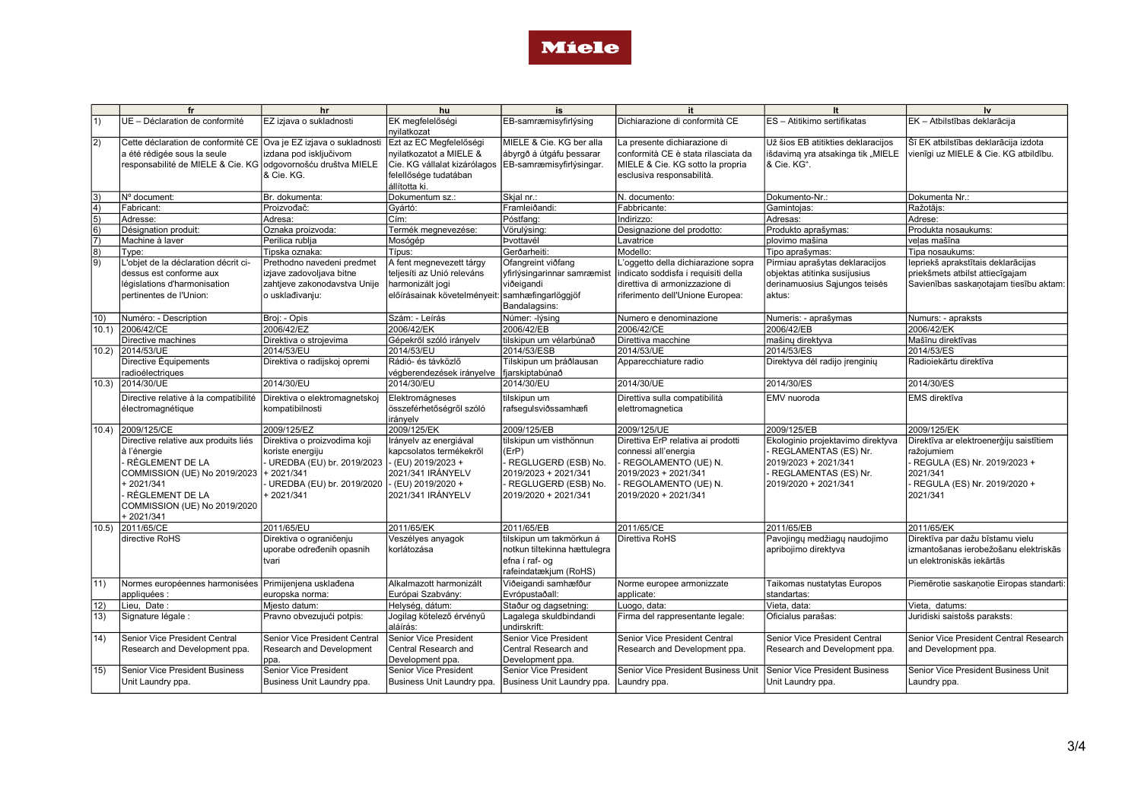

|                     | fr                                                                                                                                                                                        | hr                                                                                                                                   | hu                                                                                                                                                    | is                                                                                                                             | it                                                                                                                                                           | It                                                                                                                                  | Iv                                                                                                                                          |
|---------------------|-------------------------------------------------------------------------------------------------------------------------------------------------------------------------------------------|--------------------------------------------------------------------------------------------------------------------------------------|-------------------------------------------------------------------------------------------------------------------------------------------------------|--------------------------------------------------------------------------------------------------------------------------------|--------------------------------------------------------------------------------------------------------------------------------------------------------------|-------------------------------------------------------------------------------------------------------------------------------------|---------------------------------------------------------------------------------------------------------------------------------------------|
| 1)                  | UE - Déclaration de conformité                                                                                                                                                            | EZ izjava o sukladnosti                                                                                                              | EK megfelelőségi<br>nyilatkozat                                                                                                                       | EB-samræmisyfirlýsing                                                                                                          | Dichiarazione di conformità CE                                                                                                                               | ES - Atitikimo sertifikatas                                                                                                         | EK - Atbilstības deklarācija                                                                                                                |
| 2)                  | Cette déclaration de conformité CE Ova je EZ izjava o sukladnosti<br>a été rédigée sous la seule<br>responsabilité de MIELE & Cie. KG odgovornošću društva MIELE                          | izdana pod isključivom<br>& Cie. KG.                                                                                                 | Ezt az EC Megfelelőségi<br>nyilatkozatot a MIELE &<br>Cie. KG vállalat kizárólagos EB-samræmisyfirlýsingar.<br>felellősége tudatában<br>állította ki. | MIELE & Cie. KG ber alla<br>ábyrgð á útgáfu þessarar                                                                           | La presente dichiarazione di<br>conformità CE è stata rilasciata da<br>MIELE & Cie. KG sotto la propria<br>esclusiva responsabilità.                         | Už šios EB atitikties deklaracijos<br>išdavima yra atsakinga tik "MIELE<br>& Cie. KG".                                              | Šī EK atbilstības deklarācija izdota<br>vienīgi uz MIELE & Cie. KG atbildību.                                                               |
| 3)                  | Nº document:                                                                                                                                                                              | Br. dokumenta:                                                                                                                       | Dokumentum sz.:                                                                                                                                       | Skjal nr.:                                                                                                                     | N. documento:                                                                                                                                                | Dokumento-Nr.:                                                                                                                      | Dokumenta Nr.:                                                                                                                              |
| $\overline{4)}$     | Fabricant:                                                                                                                                                                                | Proizvođač:                                                                                                                          | Gyártó:                                                                                                                                               | Framleiðandi:                                                                                                                  | Fabbricante:                                                                                                                                                 | Gamintojas:                                                                                                                         | Ražotājs:                                                                                                                                   |
| $\vert$ 5)          | Adresse:                                                                                                                                                                                  | Adresa:                                                                                                                              | Cím:                                                                                                                                                  | Póstfang:                                                                                                                      | Indirizzo:                                                                                                                                                   | Adresas:                                                                                                                            | Adrese:                                                                                                                                     |
| 6)                  | Désignation produit:                                                                                                                                                                      | Oznaka proizvoda:                                                                                                                    | Termék megnevezése:                                                                                                                                   | Vörulýsing:                                                                                                                    | Designazione del prodotto:                                                                                                                                   | Produkto aprašymas:                                                                                                                 | Produkta nosaukums:                                                                                                                         |
| $\vert 7)$          | Machine à laver                                                                                                                                                                           | Perilica rublja                                                                                                                      | Mosógép                                                                                                                                               | Þvottavél                                                                                                                      | Lavatrice                                                                                                                                                    | plovimo mašina                                                                                                                      | velas mašīna                                                                                                                                |
| 8)                  | Type:                                                                                                                                                                                     | Tipska oznaka:                                                                                                                       | Típus:                                                                                                                                                | Gerðarheiti:                                                                                                                   | Modello:                                                                                                                                                     | Tipo aprašymas:                                                                                                                     | Tipa nosaukums:                                                                                                                             |
| 9)                  | L'objet de la déclaration décrit ci-                                                                                                                                                      | Prethodno navedeni predmet                                                                                                           | A fent megnevezett tárgy                                                                                                                              | Ofangreint viðfang                                                                                                             | L'oggetto della dichiarazione sopra                                                                                                                          | Pirmiau aprašytas deklaracijos                                                                                                      | lepriekš aprakstītais deklarācijas                                                                                                          |
|                     | dessus est conforme aux                                                                                                                                                                   | izjave zadovoljava bitne                                                                                                             | teljesíti az Unió releváns                                                                                                                            | yfirlýsingarinnar samræmist                                                                                                    | indicato soddisfa i requisiti della                                                                                                                          | objektas atitinka susijusius                                                                                                        | priekšmets atbilst attiecīgajam                                                                                                             |
|                     | législations d'harmonisation                                                                                                                                                              | zahtjeve zakonodavstva Unije                                                                                                         | harmonizált jogi                                                                                                                                      | viðeigandi                                                                                                                     | direttiva di armonizzazione di                                                                                                                               | derinamuosius Sajungos teisės                                                                                                       | Savienības saskaņotajam tiesību aktam:                                                                                                      |
|                     | pertinentes de l'Union:                                                                                                                                                                   | o usklađivanju:                                                                                                                      | előírásainak követelményeit: samhæfingarlöggjöf                                                                                                       | Bandalagsins:                                                                                                                  | riferimento dell'Unione Europea:                                                                                                                             | laktus:                                                                                                                             |                                                                                                                                             |
| 10)                 | Numéro: - Description                                                                                                                                                                     | Broj: - Opis                                                                                                                         | Szám: - Leírás                                                                                                                                        | Númer: -Iýsina                                                                                                                 | Numero e denominazione                                                                                                                                       | Numeris: - aprašymas                                                                                                                | Numurs: - apraksts                                                                                                                          |
| 10.1                | 2006/42/CE                                                                                                                                                                                | 2006/42/EZ                                                                                                                           | 2006/42/EK                                                                                                                                            | 2006/42/EB                                                                                                                     | 2006/42/CE                                                                                                                                                   | 2006/42/EB                                                                                                                          | 2006/42/EK                                                                                                                                  |
|                     | Directive machines                                                                                                                                                                        | Direktiva o strojevima                                                                                                               | Gépekről szóló irányelv                                                                                                                               | tilskipun um vélarbúnað                                                                                                        | Direttiva macchine                                                                                                                                           | mašinų direktyva                                                                                                                    | Mašīnu direktīvas                                                                                                                           |
| 10.2                | 2014/53/UE                                                                                                                                                                                | 2014/53/EU                                                                                                                           | 2014/53/EU                                                                                                                                            | 2014/53/ESB                                                                                                                    | 2014/53/UE                                                                                                                                                   | 2014/53/ES                                                                                                                          | 2014/53/ES                                                                                                                                  |
|                     | Directive Équipements                                                                                                                                                                     | Direktiva o radijskoj opremi                                                                                                         | Rádió- és távközlő                                                                                                                                    | Tilskipun um bráðlausan                                                                                                        | Apparecchiature radio                                                                                                                                        | Direktyva dėl radijo įrenginių                                                                                                      | Radioiekārtu direktīva                                                                                                                      |
|                     | radioélectriques                                                                                                                                                                          |                                                                                                                                      | végberendezések irányelve                                                                                                                             | fjarskiptabúnað                                                                                                                |                                                                                                                                                              |                                                                                                                                     |                                                                                                                                             |
| 10.3)               | 2014/30/UE                                                                                                                                                                                | 2014/30/EU                                                                                                                           | 2014/30/EU                                                                                                                                            | 2014/30/EU                                                                                                                     | 2014/30/UE                                                                                                                                                   | 2014/30/ES                                                                                                                          | 2014/30/ES                                                                                                                                  |
|                     | Directive relative à la compatibilité<br>électromagnétique                                                                                                                                | Direktiva o elektromagnetskoj<br>kompatibilnosti                                                                                     | Elektromágneses<br>összeférhetőségről szóló<br>irányelv                                                                                               | tilskipun um<br>rafsegulsviðssamhæfi                                                                                           | Direttiva sulla compatibilità<br>elettromagnetica                                                                                                            | EMV nuoroda                                                                                                                         | <b>EMS</b> direktīva                                                                                                                        |
| 10.4                | 2009/125/CE                                                                                                                                                                               | 2009/125/EZ                                                                                                                          | 2009/125/EK                                                                                                                                           | 2009/125/EB                                                                                                                    | 2009/125/UE                                                                                                                                                  | 2009/125/EB                                                                                                                         | 2009/125/EK                                                                                                                                 |
|                     | Directive relative aux produits liés<br>à l'énergie<br>· RÈGLEMENT DE LA<br>COMMISSION (UE) No 2019/2023<br>$+2021/341$<br>· RÈGLEMENT DE LA<br>COMMISSION (UE) No 2019/2020<br>+2021/341 | Direktiva o proizvodima koji<br>koriste energiju<br>UREDBA (EU) br. 2019/2023<br>+2021/341<br>UREDBA (EU) br. 2019/2020<br>+2021/341 | Irányelv az energiával<br>kapcsolatos termékekről<br>- (EU) 2019/2023 +<br>2021/341 IRÁNYELV<br>- (EU) 2019/2020 +<br>2021/341 IRÁNYELV               | tilskipun um visthönnun<br>(ErP)<br>REGLUGERÐ (ESB) No.<br>2019/2023 + 2021/341<br>REGLUGERĐ (ESB) No.<br>2019/2020 + 2021/341 | Direttiva ErP relativa ai prodotti<br>connessi all'energia<br>- REGOLAMENTO (UE) N.<br>2019/2023 + 2021/341<br>- REGOLAMENTO (UE) N.<br>2019/2020 + 2021/341 | Ekologinio projektavimo direktyva<br>REGLAMENTAS (ES) Nr.<br>2019/2023 + 2021/341<br>- REGLAMENTAS (ES) Nr.<br>2019/2020 + 2021/341 | Direktīva ar elektroenerģiju saistītiem<br>ražojumiem<br>REGULA (ES) Nr. 2019/2023 +<br>2021/341<br>REGULA (ES) Nr. 2019/2020 +<br>2021/341 |
| 10.5                | 2011/65/CE                                                                                                                                                                                | 2011/65/EU                                                                                                                           | 2011/65/EK                                                                                                                                            | 2011/65/EB                                                                                                                     | 2011/65/CE                                                                                                                                                   | 2011/65/EB                                                                                                                          | 2011/65/EK                                                                                                                                  |
|                     | directive RoHS                                                                                                                                                                            | Direktiva o ograničenju<br>uporabe određenih opasnih<br>tvari                                                                        | Veszélyes anyagok<br>korlátozása                                                                                                                      | tilskipun um takmörkun á<br>notkun tiltekinna hættulegra<br>efna í raf- og<br>rafeindatækjum (RoHS)                            | Direttiva RoHS                                                                                                                                               | Pavojingų medžiagų naudojimo<br>apribojimo direktyva                                                                                | Direktīva par dažu bīstamu vielu<br>izmantošanas ierobežošanu elektriskās<br>un elektroniskās iekārtās                                      |
| $ 11\rangle$        | Normes européennes harmonisées Primijenjena uskladena<br>appliquées :                                                                                                                     | europska norma:                                                                                                                      | Alkalmazott harmonizált<br>Európai Szabvány:                                                                                                          | Viðeigandi samhæfður<br>Evrópustaðall:                                                                                         | Norme europee armonizzate<br>applicate:                                                                                                                      | Taikomas nustatytas Europos<br>standartas:                                                                                          | Piemērotie saskaņotie Eiropas standarti:                                                                                                    |
| $ 12\rangle$        | Lieu. Date:                                                                                                                                                                               | Miesto datum:                                                                                                                        | Helység, dátum:                                                                                                                                       | Staður og dagsetning:                                                                                                          | Luogo, data:                                                                                                                                                 | Vieta, data:                                                                                                                        | Vieta, datums:                                                                                                                              |
| 13)                 | Signature légale :                                                                                                                                                                        | Pravno obvezujući potpis:                                                                                                            | Jogilag kötelező érvényű<br>aláírás:                                                                                                                  | Lagalega skuldbindandi<br>undirskrift:                                                                                         | Firma del rappresentante legale:                                                                                                                             | Oficialus parašas:                                                                                                                  | Juridiski saistošs paraksts:                                                                                                                |
| $ 14\rangle$<br>15) | Senior Vice President Central<br>Research and Development ppa.<br><b>Senior Vice President Business</b>                                                                                   | Senior Vice President Central<br>Research and Development<br>ppa.<br>Senior Vice President                                           | Senior Vice President<br>Central Research and<br>Development ppa.<br>Senior Vice President                                                            | <b>Senior Vice President</b><br>Central Research and<br>Development ppa.<br>Senior Vice President                              | Senior Vice President Central<br>Research and Development ppa.<br>Senior Vice President Business Unit                                                        | Senior Vice President Central<br>Research and Development ppa.<br>Senior Vice President Business                                    | Senior Vice President Central Research<br>and Development ppa.<br>Senior Vice President Business Unit                                       |
|                     | Unit Laundry ppa.                                                                                                                                                                         | Business Unit Laundry ppa.                                                                                                           | Business Unit Laundry ppa.                                                                                                                            | Business Unit Laundry ppa.                                                                                                     | Laundry ppa.                                                                                                                                                 | Unit Laundry ppa.                                                                                                                   | Laundry ppa.                                                                                                                                |